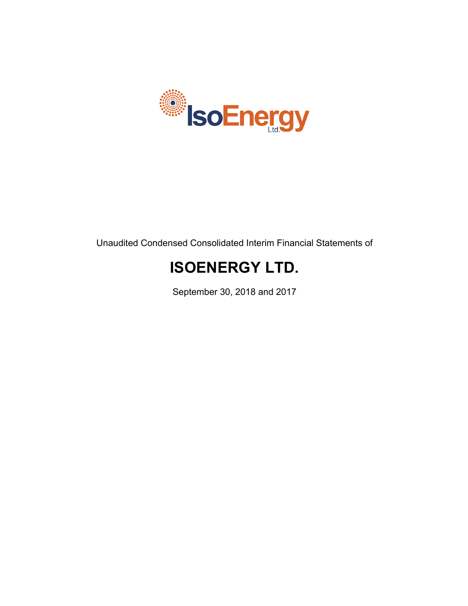

Unaudited Condensed Consolidated Interim Financial Statements of

# **ISOENERGY LTD.**

September 30, 2018 and 2017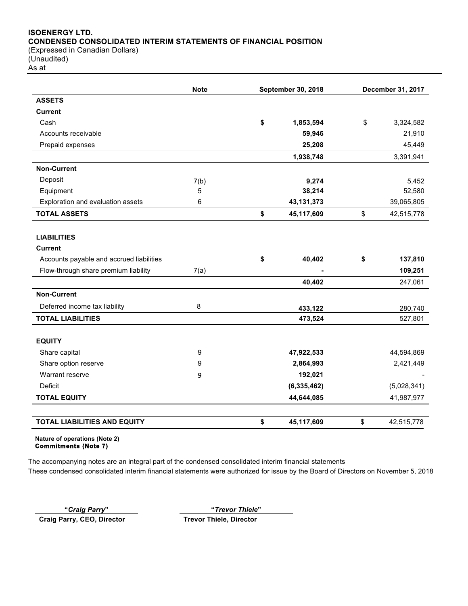## **ISOENERGY LTD. CONDENSED CONSOLIDATED INTERIM STATEMENTS OF FINANCIAL POSITION** (Expressed in Canadian Dollars)

(Unaudited) As at

|                                          | <b>Note</b> | <b>September 30, 2018</b> |               | December 31, 2017 |
|------------------------------------------|-------------|---------------------------|---------------|-------------------|
| <b>ASSETS</b>                            |             |                           |               |                   |
| <b>Current</b>                           |             |                           |               |                   |
| Cash                                     |             | \$                        | 1,853,594     | \$<br>3,324,582   |
| Accounts receivable                      |             |                           | 59,946        | 21,910            |
| Prepaid expenses                         |             |                           | 25,208        | 45,449            |
|                                          |             |                           | 1,938,748     | 3,391,941         |
| <b>Non-Current</b>                       |             |                           |               |                   |
| Deposit                                  | 7(b)        |                           | 9,274         | 5,452             |
| Equipment                                | 5           |                           | 38,214        | 52,580            |
| Exploration and evaluation assets        | 6           |                           | 43, 131, 373  | 39,065,805        |
| <b>TOTAL ASSETS</b>                      |             | \$                        | 45,117,609    | \$<br>42,515,778  |
| <b>LIABILITIES</b><br><b>Current</b>     |             |                           |               |                   |
| Accounts payable and accrued liabilities |             | \$                        | 40,402        | \$<br>137,810     |
|                                          |             |                           |               |                   |
| Flow-through share premium liability     | 7(a)        |                           |               | 109,251           |
|                                          |             |                           | 40,402        | 247,061           |
| <b>Non-Current</b>                       |             |                           |               |                   |
| Deferred income tax liability            | 8           |                           | 433,122       | 280,740           |
| <b>TOTAL LIABILITIES</b>                 |             |                           | 473,524       | 527,801           |
| <b>EQUITY</b>                            |             |                           |               |                   |
| Share capital                            | 9           |                           | 47,922,533    | 44,594,869        |
| Share option reserve                     | 9           |                           | 2,864,993     | 2,421,449         |
| Warrant reserve                          | 9           |                           | 192,021       |                   |
| Deficit                                  |             |                           | (6, 335, 462) | (5,028,341)       |
| <b>TOTAL EQUITY</b>                      |             |                           | 44,644,085    | 41,987,977        |
| <b>TOTAL LIABILITIES AND EQUITY</b>      |             |                           |               |                   |
|                                          |             | \$                        | 45,117,609    | \$<br>42,515,778  |

**Nature of operations (Note 2) Commitments (Note 7)** 

The accompanying notes are an integral part of the condensed consolidated interim financial statements These condensed consolidated interim financial statements were authorized for issue by the Board of Directors on November 5, 2018

**"***Craig Parry***" "***Trevor Thiele***" Craig Parry, CEO, Director Trevor Thiele, Director**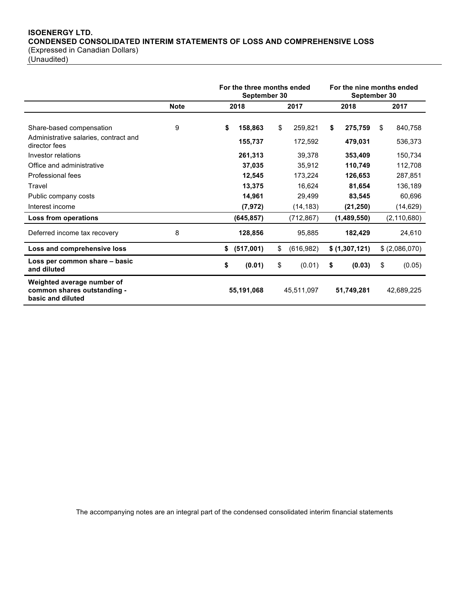## **ISOENERGY LTD. CONDENSED CONSOLIDATED INTERIM STATEMENTS OF LOSS AND COMPREHENSIVE LOSS** (Expressed in Canadian Dollars)

(Unaudited)

|                                                                                    |             | For the three months ended<br>September 30 |                              |      | For the nine months ended<br>September 30 |      |                               |      |                                |
|------------------------------------------------------------------------------------|-------------|--------------------------------------------|------------------------------|------|-------------------------------------------|------|-------------------------------|------|--------------------------------|
|                                                                                    | <b>Note</b> | 2018                                       |                              | 2017 |                                           | 2018 |                               | 2017 |                                |
| Share-based compensation<br>Administrative salaries, contract and<br>director fees | 9           | \$                                         | 158,863<br>155,737           | \$   | 259,821<br>172,592                        | S    | 275,759<br>479,031            | \$   | 840,758<br>536,373             |
| Investor relations<br>Office and administrative<br>Professional fees               |             |                                            | 261,313<br>37,035<br>12,545  |      | 39,378<br>35,912<br>173,224               |      | 353,409<br>110,749<br>126,653 |      | 150,734<br>112,708<br>287,851  |
| Travel<br>Public company costs<br>Interest income                                  |             |                                            | 13,375<br>14,961<br>(7, 972) |      | 16,624<br>29,499<br>(14, 183)             |      | 81,654<br>83,545<br>(21, 250) |      | 136,189<br>60,696<br>(14, 629) |
| Loss from operations                                                               |             |                                            | (645, 857)                   |      | (712,867)                                 |      | (1,489,550)                   |      | (2, 110, 680)                  |
| Deferred income tax recovery                                                       | 8           |                                            | 128,856                      |      | 95,885                                    |      | 182,429                       |      | 24,610                         |
| Loss and comprehensive loss                                                        |             |                                            | \$ (517,001)                 | \$   | (616, 982)                                |      | \$(1,307,121)                 |      | \$(2,086,070)                  |
| Loss per common share - basic<br>and diluted                                       |             | \$                                         | (0.01)                       | \$   | (0.01)                                    | \$   | (0.03)                        | \$   | (0.05)                         |
| Weighted average number of<br>common shares outstanding -<br>basic and diluted     |             |                                            | 55,191,068                   |      | 45,511,097                                |      | 51,749,281                    |      | 42.689.225                     |

The accompanying notes are an integral part of the condensed consolidated interim financial statements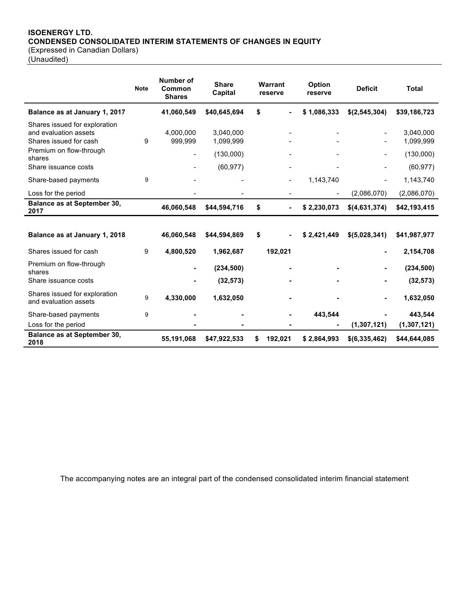## **ISOENERGY LTD. CONDENSED CONSOLIDATED INTERIM STATEMENTS OF CHANGES IN EQUITY**

(Expressed in Canadian Dollars)

(Unaudited)

|                                                                                  | <b>Note</b> | Number of<br>Common<br><b>Shares</b> | <b>Share</b><br>Capital | Warrant<br>Option<br>reserve<br>reserve |             | <b>Deficit</b> | Total                  |
|----------------------------------------------------------------------------------|-------------|--------------------------------------|-------------------------|-----------------------------------------|-------------|----------------|------------------------|
| Balance as at January 1, 2017                                                    |             | 41,060,549                           | \$40,645,694            | \$                                      | \$1,086,333 | \$(2,545,304)  | \$39,186,723           |
| Shares issued for exploration<br>and evaluation assets<br>Shares issued for cash | 9           | 4,000,000<br>999,999                 | 3,040,000<br>1,099,999  |                                         |             |                | 3,040,000<br>1,099,999 |
| Premium on flow-through<br>shares                                                |             |                                      | (130,000)               |                                         |             |                | (130,000)              |
| Share issuance costs                                                             |             |                                      | (60, 977)               |                                         |             | $\blacksquare$ | (60, 977)              |
| Share-based payments                                                             | 9           |                                      |                         | $\blacksquare$                          | 1,143,740   |                | 1,143,740              |
| Loss for the period                                                              |             |                                      |                         |                                         |             | (2,086,070)    | (2,086,070)            |
| <b>Balance as at September 30,</b><br>2017                                       |             | 46,060,548                           | \$44,594,716            | \$                                      | \$2,230,073 | \$(4,631,374)  | \$42,193,415           |
| Balance as at January 1, 2018                                                    |             | 46,060,548                           | \$44,594,869            | \$                                      | \$2,421,449 | \$(5,028,341)  | \$41,987,977           |
| Shares issued for cash                                                           | 9           | 4,800,520                            | 1,962,687               | 192,021                                 |             | $\blacksquare$ | 2,154,708              |
| Premium on flow-through<br>shares                                                |             |                                      | (234, 500)              |                                         |             | $\blacksquare$ | (234, 500)             |
| Share issuance costs                                                             |             |                                      | (32, 573)               |                                         |             |                | (32, 573)              |
| Shares issued for exploration<br>and evaluation assets                           | 9           | 4,330,000                            | 1,632,050               |                                         |             | $\blacksquare$ | 1,632,050              |
| Share-based payments                                                             | 9           |                                      |                         |                                         | 443,544     |                | 443,544                |
| Loss for the period                                                              |             |                                      |                         |                                         |             | (1,307,121)    | (1, 307, 121)          |
| Balance as at September 30,<br>2018                                              |             | 55,191,068                           | \$47,922,533            | \$<br>192,021                           | \$2,864,993 | \$(6,335,462)  | \$44,644,085           |

The accompanying notes are an integral part of the condensed consolidated interim financial statement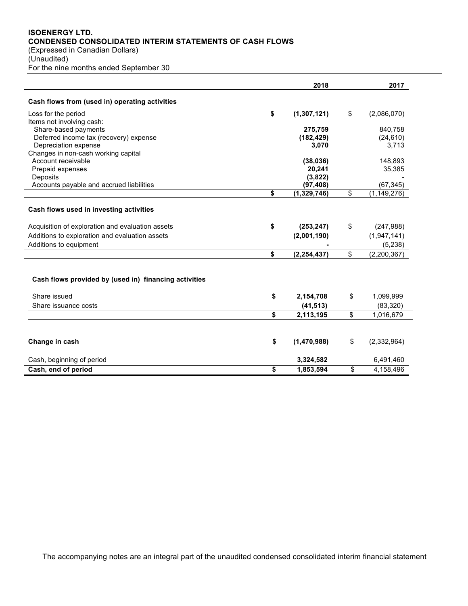## **ISOENERGY LTD. CONDENSED CONSOLIDATED INTERIM STATEMENTS OF CASH FLOWS**

(Expressed in Canadian Dollars) (Unaudited) For the nine months ended September 30

|                                                       | 2018                | 2017                |
|-------------------------------------------------------|---------------------|---------------------|
| Cash flows from (used in) operating activities        |                     |                     |
| Loss for the period                                   | \$<br>(1, 307, 121) | \$<br>(2,086,070)   |
| Items not involving cash:                             |                     |                     |
| Share-based payments                                  | 275,759             | 840,758             |
| Deferred income tax (recovery) expense                | (182, 429)          | (24, 610)           |
| Depreciation expense                                  | 3,070               | 3,713               |
| Changes in non-cash working capital                   |                     |                     |
| Account receivable                                    | (38, 036)           | 148,893             |
| Prepaid expenses                                      | 20,241              | 35,385              |
| Deposits                                              | (3,822)             |                     |
| Accounts payable and accrued liabilities              | (97, 408)           | (67, 345)           |
|                                                       | \$<br>(1, 329, 746) | \$<br>(1, 149, 276) |
| Cash flows used in investing activities               |                     |                     |
| Acquisition of exploration and evaluation assets      | \$<br>(253, 247)    | \$<br>(247, 988)    |
| Additions to exploration and evaluation assets        | (2,001,190)         | (1,947,141)         |
| Additions to equipment                                |                     | (5,238)             |
|                                                       | \$<br>(2, 254, 437) | \$<br>(2, 200, 367) |
| Cash flows provided by (used in) financing activities |                     |                     |
| Share issued                                          | \$<br>2,154,708     | \$<br>1,099,999     |
| Share issuance costs                                  | (41, 513)           | (83, 320)           |
|                                                       | \$<br>2,113,195     | \$<br>1,016,679     |
| Change in cash                                        | \$<br>(1,470,988)   | \$<br>(2,332,964)   |
| Cash, beginning of period                             | 3,324,582           | 6,491,460           |
|                                                       |                     |                     |
| Cash, end of period                                   | \$<br>1,853,594     | \$<br>4,158,496     |

The accompanying notes are an integral part of the unaudited condensed consolidated interim financial statement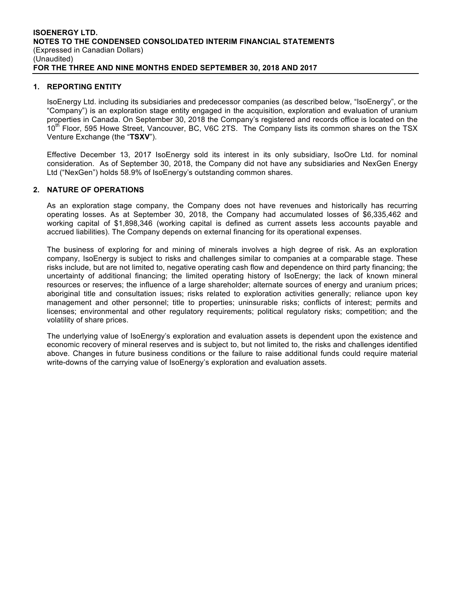## **1. REPORTING ENTITY**

IsoEnergy Ltd. including its subsidiaries and predecessor companies (as described below, "IsoEnergy", or the "Company") is an exploration stage entity engaged in the acquisition, exploration and evaluation of uranium properties in Canada. On September 30, 2018 the Company's registered and records office is located on the 10<sup>th</sup> Floor, 595 Howe Street, Vancouver, BC, V6C 2TS. The Company lists its common shares on the TSX Venture Exchange (the "**TSXV**").

Effective December 13, 2017 IsoEnergy sold its interest in its only subsidiary, IsoOre Ltd. for nominal consideration. As of September 30, 2018, the Company did not have any subsidiaries and NexGen Energy Ltd ("NexGen") holds 58.9% of IsoEnergy's outstanding common shares.

## **2. NATURE OF OPERATIONS**

As an exploration stage company, the Company does not have revenues and historically has recurring operating losses. As at September 30, 2018, the Company had accumulated losses of \$6,335,462 and working capital of \$1,898,346 (working capital is defined as current assets less accounts payable and accrued liabilities). The Company depends on external financing for its operational expenses.

The business of exploring for and mining of minerals involves a high degree of risk. As an exploration company, IsoEnergy is subject to risks and challenges similar to companies at a comparable stage. These risks include, but are not limited to, negative operating cash flow and dependence on third party financing; the uncertainty of additional financing; the limited operating history of IsoEnergy; the lack of known mineral resources or reserves; the influence of a large shareholder; alternate sources of energy and uranium prices; aboriginal title and consultation issues; risks related to exploration activities generally; reliance upon key management and other personnel; title to properties; uninsurable risks; conflicts of interest; permits and licenses; environmental and other regulatory requirements; political regulatory risks; competition; and the volatility of share prices.

The underlying value of IsoEnergy's exploration and evaluation assets is dependent upon the existence and economic recovery of mineral reserves and is subject to, but not limited to, the risks and challenges identified above. Changes in future business conditions or the failure to raise additional funds could require material write-downs of the carrying value of IsoEnergy's exploration and evaluation assets.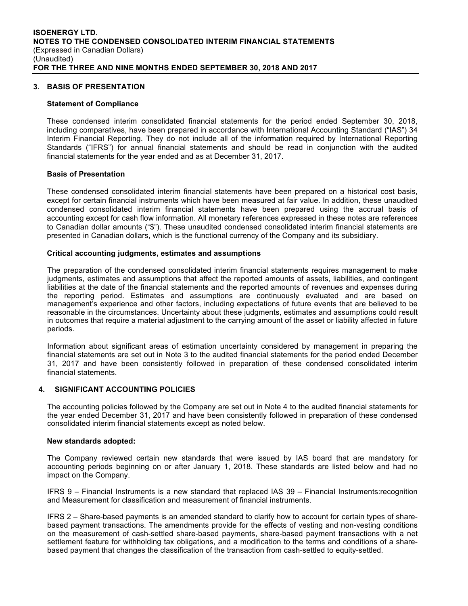## **3. BASIS OF PRESENTATION**

#### **Statement of Compliance**

These condensed interim consolidated financial statements for the period ended September 30, 2018, including comparatives, have been prepared in accordance with International Accounting Standard ("IAS") 34 Interim Financial Reporting. They do not include all of the information required by International Reporting Standards ("IFRS") for annual financial statements and should be read in conjunction with the audited financial statements for the year ended and as at December 31, 2017.

#### **Basis of Presentation**

These condensed consolidated interim financial statements have been prepared on a historical cost basis, except for certain financial instruments which have been measured at fair value. In addition, these unaudited condensed consolidated interim financial statements have been prepared using the accrual basis of accounting except for cash flow information. All monetary references expressed in these notes are references to Canadian dollar amounts ("\$"). These unaudited condensed consolidated interim financial statements are presented in Canadian dollars, which is the functional currency of the Company and its subsidiary.

#### **Critical accounting judgments, estimates and assumptions**

The preparation of the condensed consolidated interim financial statements requires management to make judgments, estimates and assumptions that affect the reported amounts of assets, liabilities, and contingent liabilities at the date of the financial statements and the reported amounts of revenues and expenses during the reporting period. Estimates and assumptions are continuously evaluated and are based on management's experience and other factors, including expectations of future events that are believed to be reasonable in the circumstances. Uncertainty about these judgments, estimates and assumptions could result in outcomes that require a material adjustment to the carrying amount of the asset or liability affected in future periods.

Information about significant areas of estimation uncertainty considered by management in preparing the financial statements are set out in Note 3 to the audited financial statements for the period ended December 31, 2017 and have been consistently followed in preparation of these condensed consolidated interim financial statements.

## **4. SIGNIFICANT ACCOUNTING POLICIES**

The accounting policies followed by the Company are set out in Note 4 to the audited financial statements for the year ended December 31, 2017 and have been consistently followed in preparation of these condensed consolidated interim financial statements except as noted below.

#### **New standards adopted:**

The Company reviewed certain new standards that were issued by IAS board that are mandatory for accounting periods beginning on or after January 1, 2018. These standards are listed below and had no impact on the Company.

IFRS 9 – Financial Instruments is a new standard that replaced IAS 39 – Financial Instruments:recognition and Measurement for classification and measurement of financial instruments.

IFRS 2 – Share-based payments is an amended standard to clarify how to account for certain types of sharebased payment transactions. The amendments provide for the effects of vesting and non-vesting conditions on the measurement of cash-settled share-based payments, share-based payment transactions with a net settlement feature for withholding tax obligations, and a modification to the terms and conditions of a sharebased payment that changes the classification of the transaction from cash-settled to equity-settled.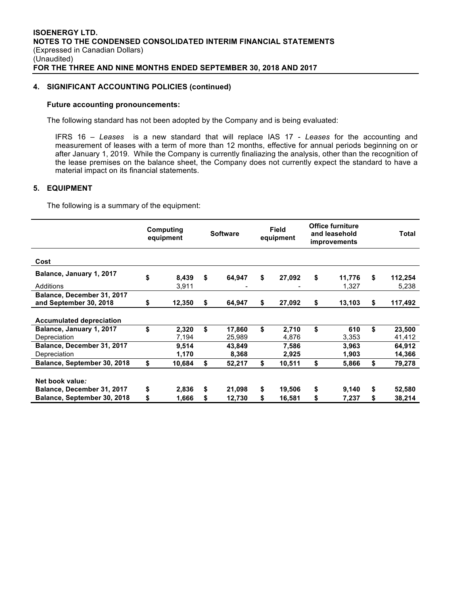## **4. SIGNIFICANT ACCOUNTING POLICIES (continued)**

#### **Future accounting pronouncements:**

The following standard has not been adopted by the Company and is being evaluated:

IFRS 16 – *Leases* is a new standard that will replace IAS 17 - *Leases* for the accounting and measurement of leases with a term of more than 12 months, effective for annual periods beginning on or after January 1, 2019. While the Company is currently finaliazing the analysis, other than the recognition of the lease premises on the balance sheet, the Company does not currently expect the standard to have a material impact on its financial statements.

## **5. EQUIPMENT**

The following is a summary of the equipment:

|                                                      | Computing<br>equipment | <b>Software</b> | <b>Field</b><br>equipment |        |    |        | <b>Office furniture</b><br>and leasehold<br>improvements |  | <b>Total</b> |
|------------------------------------------------------|------------------------|-----------------|---------------------------|--------|----|--------|----------------------------------------------------------|--|--------------|
| Cost                                                 |                        |                 |                           |        |    |        |                                                          |  |              |
| Balance, January 1, 2017                             | \$<br>8,439            | \$<br>64,947    | \$                        | 27,092 | \$ | 11,776 | \$<br>112,254                                            |  |              |
| Additions                                            | 3,911                  |                 |                           |        |    | 1,327  | 5,238                                                    |  |              |
| Balance, December 31, 2017<br>and September 30, 2018 | \$<br>12,350           | \$<br>64,947    | \$                        | 27,092 | \$ | 13,103 | \$<br>117,492                                            |  |              |
| <b>Accumulated depreciation</b>                      |                        |                 |                           |        |    |        |                                                          |  |              |
| Balance, January 1, 2017                             | \$<br>2,320            | \$<br>17,860    | \$                        | 2,710  | \$ | 610    | \$<br>23,500                                             |  |              |
| Depreciation                                         | 7,194                  | 25,989          |                           | 4,876  |    | 3,353  | 41,412                                                   |  |              |
| Balance, December 31, 2017                           | 9,514                  | 43,849          |                           | 7,586  |    | 3,963  | 64,912                                                   |  |              |
| Depreciation                                         | 1,170                  | 8,368           |                           | 2,925  |    | 1,903  | 14,366                                                   |  |              |
| Balance, September 30, 2018                          | \$<br>10,684           | \$<br>52,217    | \$                        | 10,511 | \$ | 5,866  | \$<br>79,278                                             |  |              |
| Net book value:                                      |                        |                 |                           |        |    |        |                                                          |  |              |
| Balance, December 31, 2017                           | \$<br>2,836            | \$<br>21,098    | \$                        | 19,506 | \$ | 9,140  | \$<br>52,580                                             |  |              |
| Balance, September 30, 2018                          | \$<br>1,666            | \$<br>12,730    | \$                        | 16,581 | \$ | 7,237  | \$<br>38,214                                             |  |              |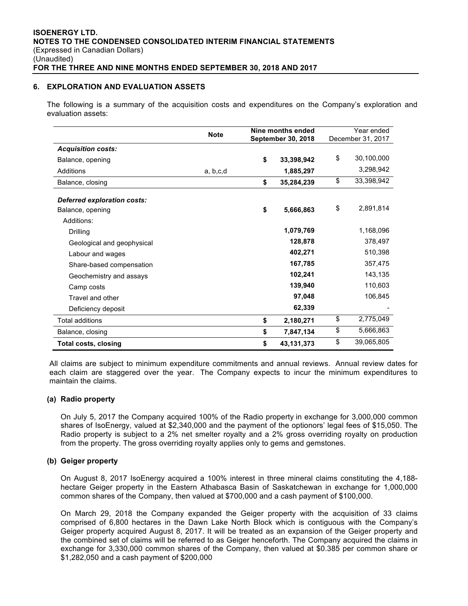## **6. EXPLORATION AND EVALUATION ASSETS**

The following is a summary of the acquisition costs and expenditures on the Company's exploration and evaluation assets:

|                             | <b>Note</b> | Nine months ended<br><b>September 30, 2018</b> |            |    | Year ended<br>December 31, 2017 |
|-----------------------------|-------------|------------------------------------------------|------------|----|---------------------------------|
| <b>Acquisition costs:</b>   |             |                                                |            |    |                                 |
| Balance, opening            |             | \$                                             | 33,398,942 | \$ | 30,100,000                      |
| Additions                   | a, b, c, d  |                                                | 1,885,297  |    | 3,298,942                       |
| Balance, closing            |             | \$                                             | 35,284,239 | \$ | 33,398,942                      |
| Deferred exploration costs: |             |                                                |            |    |                                 |
| Balance, opening            |             | \$                                             | 5,666,863  | \$ | 2,891,814                       |
| Additions:                  |             |                                                |            |    |                                 |
| Drilling                    |             |                                                | 1,079,769  |    | 1,168,096                       |
| Geological and geophysical  |             |                                                | 128,878    |    | 378,497                         |
| Labour and wages            |             |                                                | 402,271    |    | 510,398                         |
| Share-based compensation    |             |                                                | 167,785    |    | 357,475                         |
| Geochemistry and assays     |             |                                                | 102,241    |    | 143,135                         |
| Camp costs                  |             |                                                | 139,940    |    | 110,603                         |
| Travel and other            |             |                                                | 97,048     |    | 106,845                         |
| Deficiency deposit          |             |                                                | 62,339     |    |                                 |
| Total additions             |             | \$                                             | 2,180,271  | \$ | 2,775,049                       |
| Balance, closing            |             | \$                                             | 7,847,134  | \$ | 5,666,863                       |
| <b>Total costs, closing</b> |             | \$                                             | 43,131,373 | \$ | 39,065,805                      |

All claims are subject to minimum expenditure commitments and annual reviews. Annual review dates for each claim are staggered over the year. The Company expects to incur the minimum expenditures to maintain the claims.

## **(a) Radio property**

On July 5, 2017 the Company acquired 100% of the Radio property in exchange for 3,000,000 common shares of IsoEnergy, valued at \$2,340,000 and the payment of the optionors' legal fees of \$15,050. The Radio property is subject to a 2% net smelter royalty and a 2% gross overriding royalty on production from the property. The gross overriding royalty applies only to gems and gemstones.

## **(b) Geiger property**

On August 8, 2017 IsoEnergy acquired a 100% interest in three mineral claims constituting the 4,188 hectare Geiger property in the Eastern Athabasca Basin of Saskatchewan in exchange for 1,000,000 common shares of the Company, then valued at \$700,000 and a cash payment of \$100,000.

On March 29, 2018 the Company expanded the Geiger property with the acquisition of 33 claims comprised of 6,800 hectares in the Dawn Lake North Block which is contiguous with the Company's Geiger property acquired August 8, 2017. It will be treated as an expansion of the Geiger property and the combined set of claims will be referred to as Geiger henceforth. The Company acquired the claims in exchange for 3,330,000 common shares of the Company, then valued at \$0.385 per common share or \$1,282,050 and a cash payment of \$200,000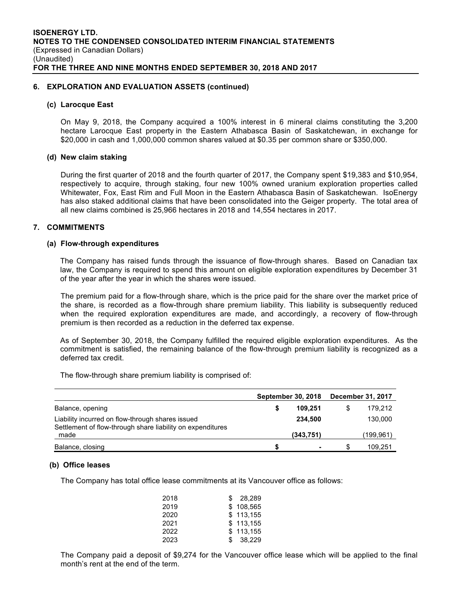#### **6. EXPLORATION AND EVALUATION ASSETS (continued)**

#### **(c) Larocque East**

On May 9, 2018, the Company acquired a 100% interest in 6 mineral claims constituting the 3,200 hectare Larocque East property in the Eastern Athabasca Basin of Saskatchewan, in exchange for \$20,000 in cash and 1,000,000 common shares valued at \$0.35 per common share or \$350,000.

#### **(d) New claim staking**

During the first quarter of 2018 and the fourth quarter of 2017, the Company spent \$19,383 and \$10,954, respectively to acquire, through staking, four new 100% owned uranium exploration properties called Whitewater, Fox, East Rim and Full Moon in the Eastern Athabasca Basin of Saskatchewan. IsoEnergy has also staked additional claims that have been consolidated into the Geiger property. The total area of all new claims combined is 25,966 hectares in 2018 and 14,554 hectares in 2017.

## **7. COMMITMENTS**

#### **(a) Flow-through expenditures**

The Company has raised funds through the issuance of flow-through shares. Based on Canadian tax law, the Company is required to spend this amount on eligible exploration expenditures by December 31 of the year after the year in which the shares were issued.

The premium paid for a flow-through share, which is the price paid for the share over the market price of the share, is recorded as a flow-through share premium liability. This liability is subsequently reduced when the required exploration expenditures are made, and accordingly, a recovery of flow-through premium is then recorded as a reduction in the deferred tax expense.

As of September 30, 2018, the Company fulfilled the required eligible exploration expenditures. As the commitment is satisfied, the remaining balance of the flow-through premium liability is recognized as a deferred tax credit.

The flow-through share premium liability is comprised of:

|                                                                                                                | <b>September 30, 2018</b> |   | December 31, 2017 |  |
|----------------------------------------------------------------------------------------------------------------|---------------------------|---|-------------------|--|
| Balance, opening                                                                                               | 109.251                   |   | 179.212           |  |
| Liability incurred on flow-through shares issued<br>Settlement of flow-through share liability on expenditures | 234,500                   |   | 130,000           |  |
| made                                                                                                           | (343,751)                 |   | (199,961)         |  |
| Balance, closing                                                                                               |                           | S | 109,251           |  |

#### **(b) Office leases**

The Company has total office lease commitments at its Vancouver office as follows:

| 2018 | S.  | 28.289    |
|------|-----|-----------|
| 2019 |     | \$108.565 |
| 2020 |     | \$113.155 |
| 2021 |     | \$113.155 |
| 2022 |     | \$113,155 |
| 2023 | \$. | 38.229    |

The Company paid a deposit of \$9,274 for the Vancouver office lease which will be applied to the final month's rent at the end of the term.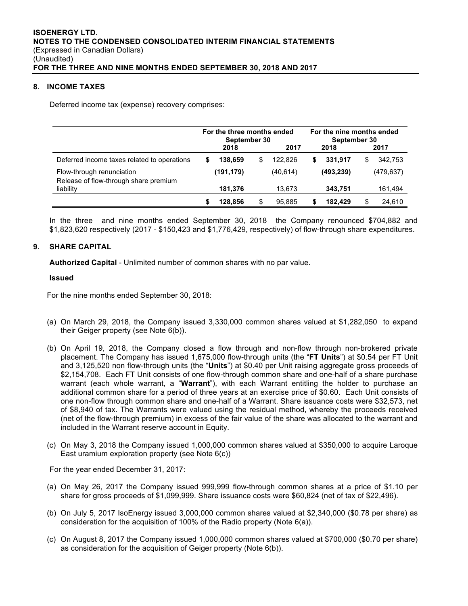## **8. INCOME TAXES**

Deferred income tax (expense) recovery comprises:

|                                                                    | For the three months ended<br>September 30 |            |   |           | For the nine months ended<br>September 30 |            |   |           |
|--------------------------------------------------------------------|--------------------------------------------|------------|---|-----------|-------------------------------------------|------------|---|-----------|
|                                                                    |                                            | 2018       |   | 2017      |                                           | 2018       |   | 2017      |
| Deferred income taxes related to operations                        | 5                                          | 138.659    | S | 122.826   | \$                                        | 331.917    | S | 342.753   |
| Flow-through renunciation<br>Release of flow-through share premium |                                            | (191, 179) |   | (40, 614) |                                           | (493, 239) |   | (479.637) |
| liability                                                          |                                            | 181,376    |   | 13.673    |                                           | 343,751    |   | 161,494   |
|                                                                    |                                            | 128.856    |   | 95.885    |                                           | 182.429    | S | 24,610    |

In the three and nine months ended September 30, 2018 the Company renounced \$704,882 and \$1,823,620 respectively (2017 - \$150,423 and \$1,776,429, respectively) of flow-through share expenditures.

## **9. SHARE CAPITAL**

**Authorized Capital** - Unlimited number of common shares with no par value.

#### **Issued**

For the nine months ended September 30, 2018:

- (a) On March 29, 2018, the Company issued 3,330,000 common shares valued at \$1,282,050 to expand their Geiger property (see Note 6(b)).
- (b) On April 19, 2018, the Company closed a flow through and non-flow through non-brokered private placement. The Company has issued 1,675,000 flow-through units (the "**FT Units**") at \$0.54 per FT Unit and 3,125,520 non flow-through units (the "**Units**") at \$0.40 per Unit raising aggregate gross proceeds of \$2,154,708. Each FT Unit consists of one flow-through common share and one-half of a share purchase warrant (each whole warrant, a "**Warrant**"), with each Warrant entitling the holder to purchase an additional common share for a period of three years at an exercise price of \$0.60. Each Unit consists of one non-flow through common share and one-half of a Warrant. Share issuance costs were \$32,573, net of \$8,940 of tax. The Warrants were valued using the residual method, whereby the proceeds received (net of the flow-through premium) in excess of the fair value of the share was allocated to the warrant and included in the Warrant reserve account in Equity.
- (c) On May 3, 2018 the Company issued 1,000,000 common shares valued at \$350,000 to acquire Laroque East uramium exploration property (see Note 6(c))

For the year ended December 31, 2017:

- (a) On May 26, 2017 the Company issued 999,999 flow-through common shares at a price of \$1.10 per share for gross proceeds of \$1,099,999. Share issuance costs were \$60,824 (net of tax of \$22,496).
- (b) On July 5, 2017 IsoEnergy issued 3,000,000 common shares valued at \$2,340,000 (\$0.78 per share) as consideration for the acquisition of 100% of the Radio property (Note 6(a)).
- (c) On August 8, 2017 the Company issued 1,000,000 common shares valued at \$700,000 (\$0.70 per share) as consideration for the acquisition of Geiger property (Note 6(b)).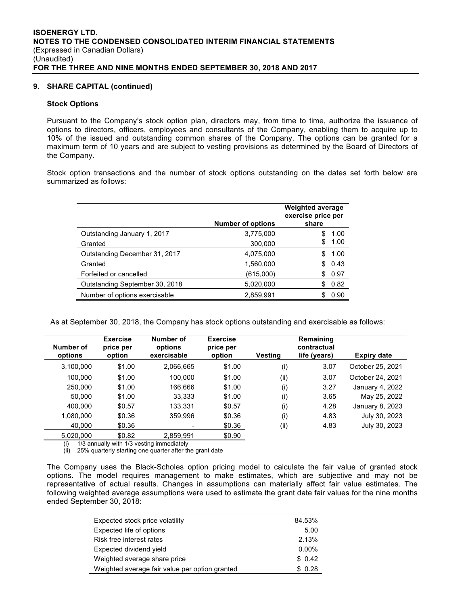#### **9. SHARE CAPITAL (continued)**

#### **Stock Options**

Pursuant to the Company's stock option plan, directors may, from time to time, authorize the issuance of options to directors, officers, employees and consultants of the Company, enabling them to acquire up to 10% of the issued and outstanding common shares of the Company. The options can be granted for a maximum term of 10 years and are subject to vesting provisions as determined by the Board of Directors of the Company.

Stock option transactions and the number of stock options outstanding on the dates set forth below are summarized as follows:

|                                | <b>Number of options</b> | <b>Weighted average</b><br>exercise price per<br>share |
|--------------------------------|--------------------------|--------------------------------------------------------|
| Outstanding January 1, 2017    | 3,775,000                | 1.00                                                   |
| Granted                        | 300,000                  | 1.00<br>S                                              |
| Outstanding December 31, 2017  | 4,075,000                | 1.00                                                   |
| Granted                        | 1,560,000                | 0.43<br>S                                              |
| Forfeited or cancelled         | (615,000)                | 0.97<br>S                                              |
| Outstanding September 30, 2018 | 5,020,000                | 0.82<br>S                                              |
| Number of options exercisable  | 2,859,991                | 0.90                                                   |

As at September 30, 2018, the Company has stock options outstanding and exercisable as follows:

| Number of<br>options | <b>Exercise</b><br>price per<br>option | Number of<br>options<br>exercisable | <b>Exercise</b><br>price per<br>option | <b>Vesting</b> | Remaining<br>contractual<br>life (years) | <b>Expiry date</b> |
|----------------------|----------------------------------------|-------------------------------------|----------------------------------------|----------------|------------------------------------------|--------------------|
| 3,100,000            | \$1.00                                 | 2,066,665                           | \$1.00                                 | (i)            | 3.07                                     | October 25, 2021   |
| 100.000              | \$1.00                                 | 100.000                             | \$1.00                                 | (ii)           | 3.07                                     | October 24, 2021   |
| 250,000              | \$1.00                                 | 166,666                             | \$1.00                                 | (i)            | 3.27                                     | January 4, 2022    |
| 50.000               | \$1.00                                 | 33,333                              | \$1.00                                 | (i)            | 3.65                                     | May 25, 2022       |
| 400.000              | \$0.57                                 | 133,331                             | \$0.57                                 | (i)            | 4.28                                     | January 8, 2023    |
| 1,080,000            | \$0.36                                 | 359,996                             | \$0.36                                 | (i)            | 4.83                                     | July 30, 2023      |
| 40.000               | \$0.36                                 |                                     | \$0.36                                 | (ii)           | 4.83                                     | July 30, 2023      |
| 5.020.000            | \$0.82                                 | 2.859.991                           | \$0.90                                 |                |                                          |                    |

(i) 1/3 annually with 1/3 vesting immediately

(ii) 25% quarterly starting one quarter after the grant date

The Company uses the Black-Scholes option pricing model to calculate the fair value of granted stock options. The model requires management to make estimates, which are subjective and may not be representative of actual results. Changes in assumptions can materially affect fair value estimates. The following weighted average assumptions were used to estimate the grant date fair values for the nine months ended September 30, 2018:

| Expected stock price volatility                | 84.53%   |
|------------------------------------------------|----------|
| Expected life of options                       | 5.00     |
| Risk free interest rates                       | 2.13%    |
| Expected dividend yield                        | $0.00\%$ |
| Weighted average share price                   | \$0.42   |
| Weighted average fair value per option granted | \$0.28   |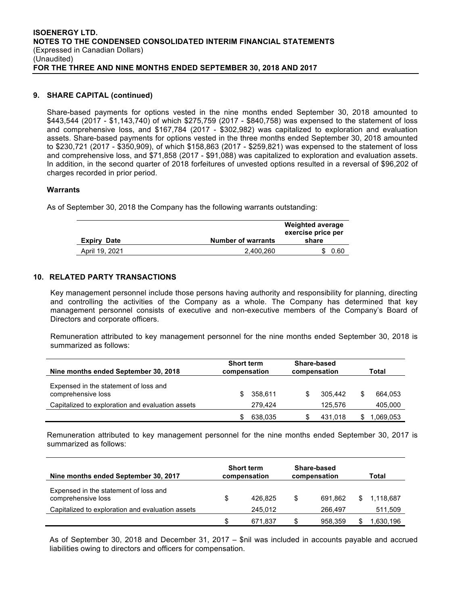#### **9. SHARE CAPITAL (continued)**

Share-based payments for options vested in the nine months ended September 30, 2018 amounted to \$443,544 (2017 - \$1,143,740) of which \$275,759 (2017 - \$840,758) was expensed to the statement of loss and comprehensive loss, and \$167,784 (2017 - \$302,982) was capitalized to exploration and evaluation assets. Share-based payments for options vested in the three months ended September 30, 2018 amounted to \$230,721 (2017 - \$350,909), of which \$158,863 (2017 - \$259,821) was expensed to the statement of loss and comprehensive loss, and \$71,858 (2017 - \$91,088) was capitalized to exploration and evaluation assets. In addition, in the second quarter of 2018 forfeitures of unvested options resulted in a reversal of \$96,202 of charges recorded in prior period.

#### **Warrants**

As of September 30, 2018 the Company has the following warrants outstanding:

| <b>Expiry</b><br>Date | <b>Number of warrants</b> | <b>Weighted average</b><br>exercise price per<br>share |  |  |
|-----------------------|---------------------------|--------------------------------------------------------|--|--|
| April 19, 2021        | 2.400.260                 | 0.60                                                   |  |  |

#### **10. RELATED PARTY TRANSACTIONS**

Key management personnel include those persons having authority and responsibility for planning, directing and controlling the activities of the Company as a whole. The Company has determined that key management personnel consists of executive and non-executive members of the Company's Board of Directors and corporate officers.

Remuneration attributed to key management personnel for the nine months ended September 30, 2018 is summarized as follows:

| Nine months ended September 30, 2018                        | <b>Short term</b><br>compensation |         | Share-based<br>compensation |         | Total |          |
|-------------------------------------------------------------|-----------------------------------|---------|-----------------------------|---------|-------|----------|
| Expensed in the statement of loss and<br>comprehensive loss | S                                 | 358.611 | S.                          | 305.442 |       | 664.053  |
| Capitalized to exploration and evaluation assets            |                                   | 279.424 |                             | 125.576 |       | 405,000  |
|                                                             |                                   | 638,035 |                             | 431.018 |       | .069.053 |

Remuneration attributed to key management personnel for the nine months ended September 30, 2017 is summarized as follows:

| Nine months ended September 30, 2017                        | <b>Short term</b><br>compensation |         | Share-based<br>compensation |         | Total |           |
|-------------------------------------------------------------|-----------------------------------|---------|-----------------------------|---------|-------|-----------|
| Expensed in the statement of loss and<br>comprehensive loss | S                                 | 426.825 | S                           | 691.862 |       | 1.118.687 |
| Capitalized to exploration and evaluation assets            |                                   | 245.012 |                             | 266.497 |       | 511,509   |
|                                                             | \$.                               | 671.837 |                             | 958.359 |       | .630,196  |

As of September 30, 2018 and December 31, 2017 – \$nil was included in accounts payable and accrued liabilities owing to directors and officers for compensation.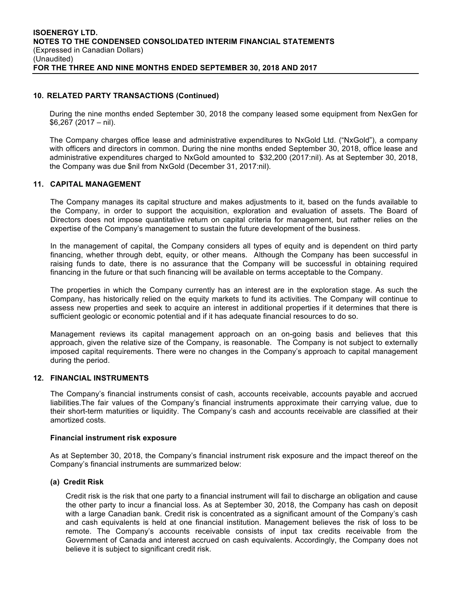## **10. RELATED PARTY TRANSACTIONS (Continued)**

During the nine months ended September 30, 2018 the company leased some equipment from NexGen for \$6,267 (2017 – nil).

The Company charges office lease and administrative expenditures to NxGold Ltd. ("NxGold"), a company with officers and directors in common. During the nine months ended September 30, 2018, office lease and administrative expenditures charged to NxGold amounted to \$32,200 (2017:nil). As at September 30, 2018, the Company was due \$nil from NxGold (December 31, 2017:nil).

## **11. CAPITAL MANAGEMENT**

The Company manages its capital structure and makes adjustments to it, based on the funds available to the Company, in order to support the acquisition, exploration and evaluation of assets. The Board of Directors does not impose quantitative return on capital criteria for management, but rather relies on the expertise of the Company's management to sustain the future development of the business.

In the management of capital, the Company considers all types of equity and is dependent on third party financing, whether through debt, equity, or other means. Although the Company has been successful in raising funds to date, there is no assurance that the Company will be successful in obtaining required financing in the future or that such financing will be available on terms acceptable to the Company.

The properties in which the Company currently has an interest are in the exploration stage. As such the Company, has historically relied on the equity markets to fund its activities. The Company will continue to assess new properties and seek to acquire an interest in additional properties if it determines that there is sufficient geologic or economic potential and if it has adequate financial resources to do so.

Management reviews its capital management approach on an on-going basis and believes that this approach, given the relative size of the Company, is reasonable. The Company is not subject to externally imposed capital requirements. There were no changes in the Company's approach to capital management during the period.

## **12. FINANCIAL INSTRUMENTS**

The Company's financial instruments consist of cash, accounts receivable, accounts payable and accrued liabilities.The fair values of the Company's financial instruments approximate their carrying value, due to their short-term maturities or liquidity. The Company's cash and accounts receivable are classified at their amortized costs.

## **Financial instrument risk exposure**

As at September 30, 2018, the Company's financial instrument risk exposure and the impact thereof on the Company's financial instruments are summarized below:

## **(a) Credit Risk**

Credit risk is the risk that one party to a financial instrument will fail to discharge an obligation and cause the other party to incur a financial loss. As at September 30, 2018, the Company has cash on deposit with a large Canadian bank. Credit risk is concentrated as a significant amount of the Company's cash and cash equivalents is held at one financial institution. Management believes the risk of loss to be remote. The Company's accounts receivable consists of input tax credits receivable from the Government of Canada and interest accrued on cash equivalents. Accordingly, the Company does not believe it is subject to significant credit risk.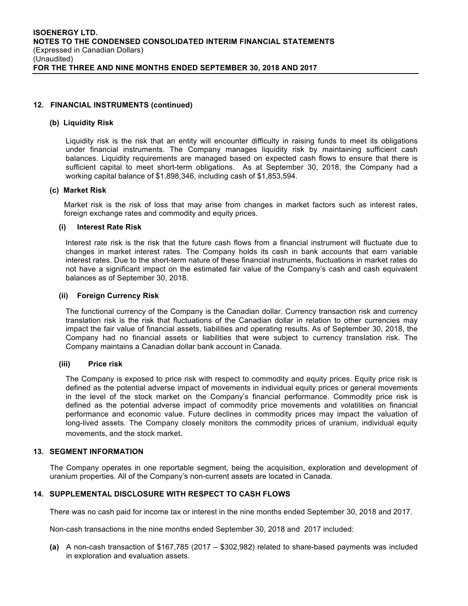## **12. FINANCIAL INSTRUMENTS (continued)**

#### **(b) Liquidity Risk**

Liquidity risk is the risk that an entity will encounter difficulty in raising funds to meet its obligations under financial instruments. The Company manages liquidity risk by maintaining sufficient cash balances. Liquidity requirements are managed based on expected cash flows to ensure that there is sufficient capital to meet short-term obligations. As at September 30, 2018, the Company had a working capital balance of \$1,898,346, including cash of \$1,853,594.

#### **(c) Market Risk**

Market risk is the risk of loss that may arise from changes in market factors such as interest rates, foreign exchange rates and commodity and equity prices.

#### **(i) Interest Rate Risk**

Interest rate risk is the risk that the future cash flows from a financial instrument will fluctuate due to changes in market interest rates. The Company holds its cash in bank accounts that earn variable interest rates. Due to the short-term nature of these financial instruments, fluctuations in market rates do not have a significant impact on the estimated fair value of the Company's cash and cash equivalent balances as of September 30, 2018.

#### **(ii) Foreign Currency Risk**

The functional currency of the Company is the Canadian dollar. Currency transaction risk and currency translation risk is the risk that fluctuations of the Canadian dollar in relation to other currencies may impact the fair value of financial assets, liabilities and operating results. As of September 30, 2018, the Company had no financial assets or liabilities that were subject to currency translation risk. The Company maintains a Canadian dollar bank account in Canada.

## **(iii) Price risk**

The Company is exposed to price risk with respect to commodity and equity prices. Equity price risk is defined as the potential adverse impact of movements in individual equity prices or general movements in the level of the stock market on the Company's financial performance. Commodity price risk is defined as the potential adverse impact of commodity price movements and volatilities on financial performance and economic value. Future declines in commodity prices may impact the valuation of long-lived assets. The Company closely monitors the commodity prices of uranium, individual equity movements, and the stock market.

## **13. SEGMENT INFORMATION**

The Company operates in one reportable segment, being the acquisition, exploration and development of uranium properties. All of the Company's non-current assets are located in Canada.

## **14. SUPPLEMENTAL DISCLOSURE WITH RESPECT TO CASH FLOWS**

There was no cash paid for income tax or interest in the nine months ended September 30, 2018 and 2017.

Non-cash transactions in the nine months ended September 30, 2018 and 2017 included:

**(a)** A non-cash transaction of \$167,785 (2017 – \$302,982) related to share-based payments was included in exploration and evaluation assets.